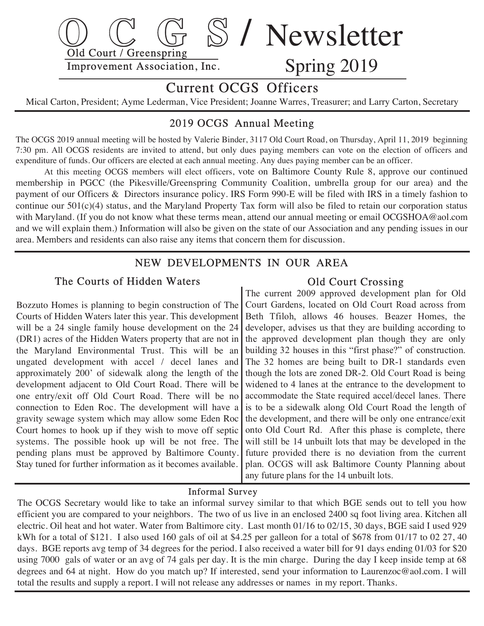

# Current OCGS Officers

Mical Carton, President; Ayme Lederman, Vice President; Joanne Warres, Treasurer; and Larry Carton, Secretary

# 2019 OCGS Annual Meeting

The OCGS 2019 annual meeting will be hosted by Valerie Binder, 3117 Old Court Road, on Thursday, April 11, 2019 beginning 7:30 pm. All OCGS residents are invited to attend, but only dues paying members can vote on the election of officers and expenditure of funds. Our officers are elected at each annual meeting. Any dues paying member can be an officer.

 At this meeting OCGS members will elect officers, vote on Baltimore County Rule 8, approve our continued membership in PGCC (the Pikesville/Greenspring Community Coalition, umbrella group for our area) and the payment of our Officers & Directors insurance policy. IRS Form 990-E will be filed with IRS in a timely fashion to continue our  $501(c)(4)$  status, and the Maryland Property Tax form will also be filed to retain our corporation status with Maryland. (If you do not know what these terms mean, attend our annual meeting or email OCGSHOA @aol.com and we will explain them.) Information will also be given on the state of our Association and any pending issues in our area. Members and residents can also raise any items that concern them for discussion.

# NEW DEVELOPMENTS IN OUR AREA

#### The Courts of Hidden Waters

 Bozzuto Homes is planning to begin construction of The Courts of Hidden Waters later this year. This development will be a 24 single family house development on the 24 (DR1) acres of the Hidden Waters property that are not in the Maryland Environmental Trust. This will be an ungated development with accel / decel lanes and approximately 200' of sidewalk along the length of the development adjacent to Old Court Road. There will be one entry/exit off Old Court Road. There will be no connection to Eden Roc. The development will have a gravity sewage system which may allow some Eden Roc Court homes to hook up if they wish to move off septic systems. The possible hook up will be not free. The pending plans must be approved by Baltimore County. Stay tuned for further information as it becomes available.

## Old Court Crossing

 The current 2009 approved development plan for Old Court Gardens, located on Old Court Road across from Beth Tfiloh, allows 46 houses. Beazer Homes, the developer, advises us that they are building according to the approved development plan though they are only building 32 houses in this "first phase?" of construction. The 32 homes are being built to DR-1 standards even though the lots are zoned DR-2. Old Court Road is being widened to 4 lanes at the entrance to the development to accommodate the State required accel/decel lanes. There is to be a sidewalk along Old Court Road the length of the development, and there will be only one entrance/exit onto Old Court Rd. After this phase is complete, there will still be 14 unbuilt lots that may be developed in the future provided there is no deviation from the current plan. OCGS will ask Baltimore County Planning about any future plans for the 14 unbuilt lots.

#### Informal Survey

 The OCGS Secretary would like to take an informal survey similar to that which BGE sends out to tell you how efficient you are compared to your neighbors. The two of us live in an enclosed 2400 sq foot living area. Kitchen all electric. Oil heat and hot water. Water from Baltimore city. Last month 01/16 to 02/15, 30 days, BGE said I used 929 kWh for a total of \$121. I also used 160 gals of oil at \$4.25 per galleon for a total of \$678 from 01/17 to 02 27, 40 days. BGE reports avg temp of 34 degrees for the period. I also received a water bill for 91 days ending 01/03 for \$20 using 7000 gals of water or an avg of 74 gals per day. It is the min charge. During the day I keep inside temp at 68 degrees and 64 at night. How do you match up? If interested, send your information to Laurenzoc@aol .com. I will total the results and supply a report. I will not release any addresses or names in my report. Thanks.